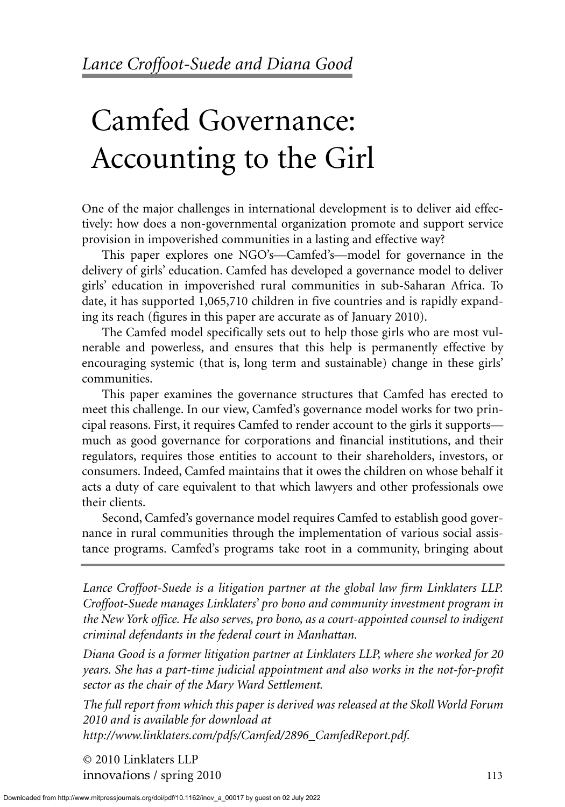One of the major challenges in international development is to deliver aid effectively: how does a non-governmental organization promote and support service provision in impoverished communities in a lasting and effective way?

This paper explores one NGO's—Camfed's—model for governance in the delivery of girls' education. Camfed has developed a governance model to deliver girls' education in impoverished rural communities in sub-Saharan Africa. To date, it has supported 1,065,710 children in five countries and is rapidly expanding its reach (figures in this paper are accurate as of January 2010).

The Camfed model specifically sets out to help those girls who are most vulnerable and powerless, and ensures that this help is permanently effective by encouraging systemic (that is, long term and sustainable) change in these girls' communities.

This paper examines the governance structures that Camfed has erected to meet this challenge. In our view, Camfed's governance model works for two principal reasons. First, it requires Camfed to render account to the girls it supports much as good governance for corporations and financial institutions, and their regulators, requires those entities to account to their shareholders, investors, or consumers. Indeed, Camfed maintains that it owes the children on whose behalf it acts a duty of care equivalent to that which lawyers and other professionals owe their clients.

Second, Camfed's governance model requires Camfed to establish good governance in rural communities through the implementation of various social assistance programs. Camfed's programs take root in a community, bringing about

*Lance Croffoot-Suede is a litigation partner at the global law firm Linklaters LLP. Croffoot-Suede manages Linklaters' pro bono and community investment program in the New York office. He also serves, pro bono, as a court-appointed counsel to indigent criminal defendants in the federal court in Manhattan.*

*Diana Good is a former litigation partner at Linklaters LLP, where she worked for 20 years. She has a part-time judicial appointment and also works in the not-for-profit sector as the chair of the Mary Ward Settlement.*

*The full report from which this paper is derived was released at the Skoll World Forum 2010 and is available for download at*

*http://www.linklaters.com/pdfs/Camfed/2896\_CamfedReport.pdf.*

© 2010 Linklaters LLP innovations / spring 2010 113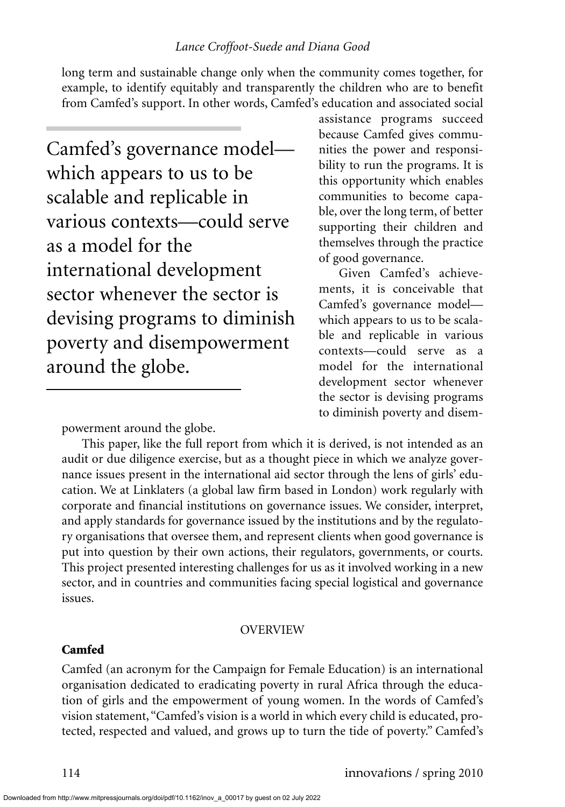long term and sustainable change only when the community comes together, for example, to identify equitably and transparently the children who are to benefit from Camfed's support. In other words, Camfed's education and associated social

Camfed's governance model which appears to us to be scalable and replicable in various contexts—could serve as a model for the international development sector whenever the sector is devising programs to diminish poverty and disempowerment around the globe.

assistance programs succeed because Camfed gives communities the power and responsibility to run the programs. It is this opportunity which enables communities to become capable, over the long term, of better supporting their children and themselves through the practice of good governance.

Given Camfed's achievements, it is conceivable that Camfed's governance model which appears to us to be scalable and replicable in various contexts—could serve as a model for the international development sector whenever the sector is devising programs to diminish poverty and disem-

powerment around the globe.

This paper, like the full report from which it is derived, is not intended as an audit or due diligence exercise, but as a thought piece in which we analyze governance issues present in the international aid sector through the lens of girls' education. We at Linklaters (a global law firm based in London) work regularly with corporate and financial institutions on governance issues. We consider, interpret, and apply standards for governance issued by the institutions and by the regulatory organisations that oversee them, and represent clients when good governance is put into question by their own actions, their regulators, governments, or courts. This project presented interesting challenges for us as it involved working in a new sector, and in countries and communities facing special logistical and governance issues.

#### OVERVIEW

## **Camfed**

Camfed (an acronym for the Campaign for Female Education) is an international organisation dedicated to eradicating poverty in rural Africa through the education of girls and the empowerment of young women. In the words of Camfed's vision statement, "Camfed's vision is a world in which every child is educated, protected, respected and valued, and grows up to turn the tide of poverty." Camfed's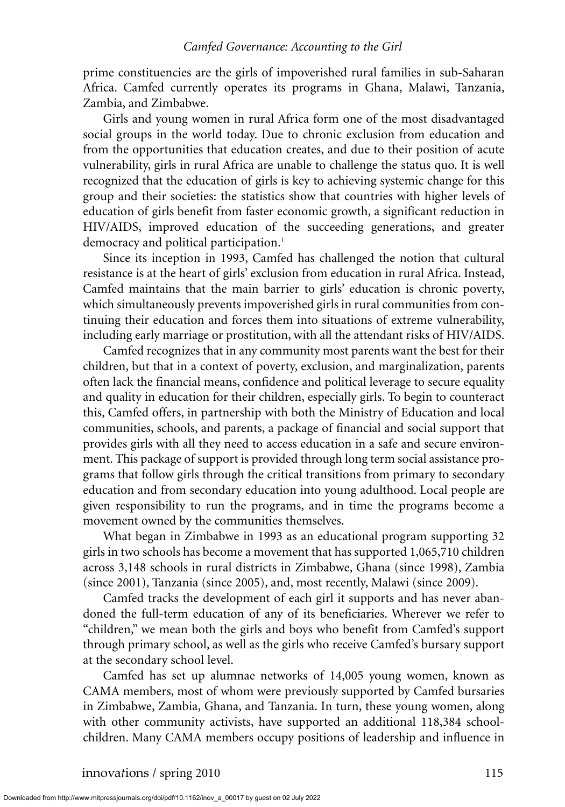prime constituencies are the girls of impoverished rural families in sub-Saharan Africa. Camfed currently operates its programs in Ghana, Malawi, Tanzania, Zambia, and Zimbabwe.

Girls and young women in rural Africa form one of the most disadvantaged social groups in the world today. Due to chronic exclusion from education and from the opportunities that education creates, and due to their position of acute vulnerability, girls in rural Africa are unable to challenge the status quo. It is well recognized that the education of girls is key to achieving systemic change for this group and their societies: the statistics show that countries with higher levels of education of girls benefit from faster economic growth, a significant reduction in HIV/AIDS, improved education of the succeeding generations, and greater democracy and political participation.<sup>1</sup>

Since its inception in 1993, Camfed has challenged the notion that cultural resistance is at the heart of girls' exclusion from education in rural Africa. Instead, Camfed maintains that the main barrier to girls' education is chronic poverty, which simultaneously prevents impoverished girls in rural communities from continuing their education and forces them into situations of extreme vulnerability, including early marriage or prostitution, with all the attendant risks of HIV/AIDS.

Camfed recognizes that in any community most parents want the best for their children, but that in a context of poverty, exclusion, and marginalization, parents often lack the financial means, confidence and political leverage to secure equality and quality in education for their children, especially girls. To begin to counteract this, Camfed offers, in partnership with both the Ministry of Education and local communities, schools, and parents, a package of financial and social support that provides girls with all they need to access education in a safe and secure environment. This package of support is provided through long term social assistance programs that follow girls through the critical transitions from primary to secondary education and from secondary education into young adulthood. Local people are given responsibility to run the programs, and in time the programs become a movement owned by the communities themselves.

What began in Zimbabwe in 1993 as an educational program supporting 32 girls in two schools has become a movement that has supported 1,065,710 children across 3,148 schools in rural districts in Zimbabwe, Ghana (since 1998), Zambia (since 2001), Tanzania (since 2005), and, most recently, Malawi (since 2009).

Camfed tracks the development of each girl it supports and has never abandoned the full-term education of any of its beneficiaries. Wherever we refer to "children," we mean both the girls and boys who benefit from Camfed's support through primary school, as well as the girls who receive Camfed's bursary support at the secondary school level.

Camfed has set up alumnae networks of 14,005 young women, known as CAMA members, most of whom were previously supported by Camfed bursaries in Zimbabwe, Zambia, Ghana, and Tanzania. In turn, these young women, along with other community activists, have supported an additional 118,384 schoolchildren. Many CAMA members occupy positions of leadership and influence in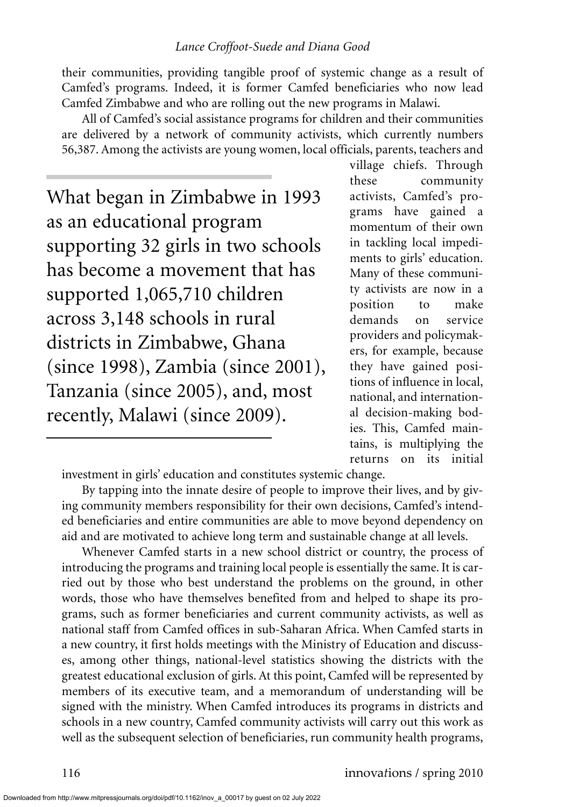their communities, providing tangible proof of systemic change as a result of Camfed's programs. Indeed, it is former Camfed beneficiaries who now lead Camfed Zimbabwe and who are rolling out the new programs in Malawi.

All of Camfed's social assistance programs for children and their communities are delivered by a network of community activists, which currently numbers 56,387. Among the activists are young women, local officials, parents, teachers and

What began in Zimbabwe in 1993 as an educational program supporting 32 girls in two schools has become a movement that has supported 1,065,710 children across 3,148 schools in rural districts in Zimbabwe, Ghana (since 1998), Zambia (since 2001), Tanzania (since 2005), and, most recently, Malawi (since 2009).

village chiefs. Through these community activists, Camfed's programs have gained a momentum of their own in tackling local impediments to girls' education. Many of these community activists are now in a position to make demands on service providers and policymakers, for example, because they have gained positions of influence in local, national, and international decision-making bodies. This, Camfed maintains, is multiplying the returns on its initial

investment in girls' education and constitutes systemic change.

By tapping into the innate desire of people to improve their lives, and by giving community members responsibility for their own decisions, Camfed's intended beneficiaries and entire communities are able to move beyond dependency on aid and are motivated to achieve long term and sustainable change at all levels.

Whenever Camfed starts in a new school district or country, the process of introducing the programs and training local people is essentially the same. It is carried out by those who best understand the problems on the ground, in other words, those who have themselves benefited from and helped to shape its programs, such as former beneficiaries and current community activists, as well as national staff from Camfed offices in sub-Saharan Africa. When Camfed starts in a new country, it first holds meetings with the Ministry of Education and discusses, among other things, national-level statistics showing the districts with the greatest educational exclusion of girls. At this point, Camfed will be represented by members of its executive team, and a memorandum of understanding will be signed with the ministry. When Camfed introduces its programs in districts and schools in a new country, Camfed community activists will carry out this work as well as the subsequent selection of beneficiaries, run community health programs,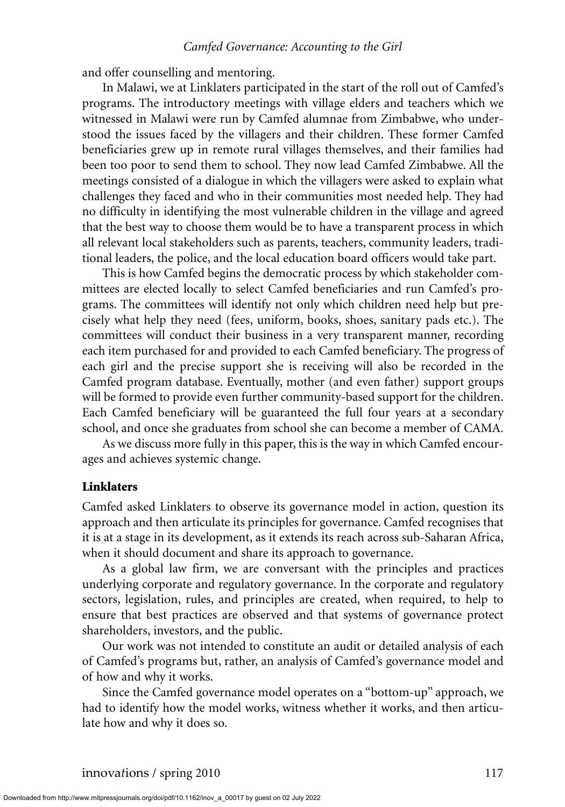and offer counselling and mentoring.

In Malawi, we at Linklaters participated in the start of the roll out of Camfed's programs. The introductory meetings with village elders and teachers which we witnessed in Malawi were run by Camfed alumnae from Zimbabwe, who understood the issues faced by the villagers and their children. These former Camfed beneficiaries grew up in remote rural villages themselves, and their families had been too poor to send them to school. They now lead Camfed Zimbabwe. All the meetings consisted of a dialogue in which the villagers were asked to explain what challenges they faced and who in their communities most needed help. They had no difficulty in identifying the most vulnerable children in the village and agreed that the best way to choose them would be to have a transparent process in which all relevant local stakeholders such as parents, teachers, community leaders, traditional leaders, the police, and the local education board officers would take part.

This is how Camfed begins the democratic process by which stakeholder committees are elected locally to select Camfed beneficiaries and run Camfed's programs. The committees will identify not only which children need help but precisely what help they need (fees, uniform, books, shoes, sanitary pads etc.). The committees will conduct their business in a very transparent manner, recording each item purchased for and provided to each Camfed beneficiary. The progress of each girl and the precise support she is receiving will also be recorded in the Camfed program database. Eventually, mother (and even father) support groups will be formed to provide even further community-based support for the children. Each Camfed beneficiary will be guaranteed the full four years at a secondary school, and once she graduates from school she can become a member of CAMA.

As we discuss more fully in this paper, this is the way in which Camfed encourages and achieves systemic change.

## **Linklaters**

Camfed asked Linklaters to observe its governance model in action, question its approach and then articulate its principles for governance. Camfed recognises that it is at a stage in its development, as it extends its reach across sub-Saharan Africa, when it should document and share its approach to governance.

As a global law firm, we are conversant with the principles and practices underlying corporate and regulatory governance. In the corporate and regulatory sectors, legislation, rules, and principles are created, when required, to help to ensure that best practices are observed and that systems of governance protect shareholders, investors, and the public.

Our work was not intended to constitute an audit or detailed analysis of each of Camfed's programs but, rather, an analysis of Camfed's governance model and of how and why it works.

Since the Camfed governance model operates on a "bottom-up" approach, we had to identify how the model works, witness whether it works, and then articulate how and why it does so.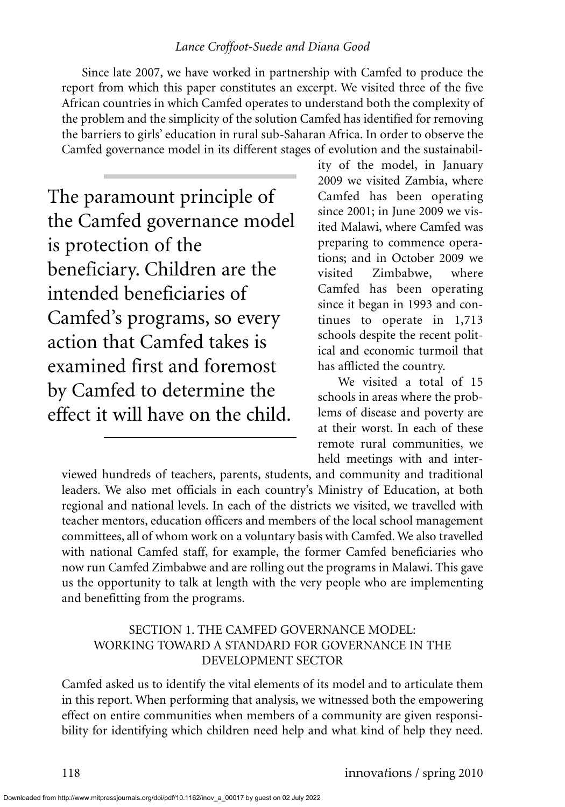Since late 2007, we have worked in partnership with Camfed to produce the report from which this paper constitutes an excerpt. We visited three of the five African countries in which Camfed operates to understand both the complexity of the problem and the simplicity of the solution Camfed has identified for removing the barriers to girls' education in rural sub-Saharan Africa. In order to observe the Camfed governance model in its different stages of evolution and the sustainabil-

The paramount principle of the Camfed governance model is protection of the beneficiary. Children are the intended beneficiaries of Camfed's programs, so every action that Camfed takes is examined first and foremost by Camfed to determine the effect it will have on the child.

ity of the model, in January 2009 we visited Zambia, where Camfed has been operating since 2001; in June 2009 we visited Malawi, where Camfed was preparing to commence operations; and in October 2009 we visited Zimbabwe, where Camfed has been operating since it began in 1993 and continues to operate in 1,713 schools despite the recent political and economic turmoil that has afflicted the country.

We visited a total of 15 schools in areas where the problems of disease and poverty are at their worst. In each of these remote rural communities, we held meetings with and inter-

viewed hundreds of teachers, parents, students, and community and traditional leaders. We also met officials in each country's Ministry of Education, at both regional and national levels. In each of the districts we visited, we travelled with teacher mentors, education officers and members of the local school management committees, all of whom work on a voluntary basis with Camfed. We also travelled with national Camfed staff, for example, the former Camfed beneficiaries who now run Camfed Zimbabwe and are rolling out the programs in Malawi. This gave us the opportunity to talk at length with the very people who are implementing and benefitting from the programs.

# SECTION 1. THE CAMFED GOVERNANCE MODEL: WORKING TOWARD A STANDARD FOR GOVERNANCE IN THE DEVELOPMENT SECTOR

Camfed asked us to identify the vital elements of its model and to articulate them in this report. When performing that analysis, we witnessed both the empowering effect on entire communities when members of a community are given responsibility for identifying which children need help and what kind of help they need.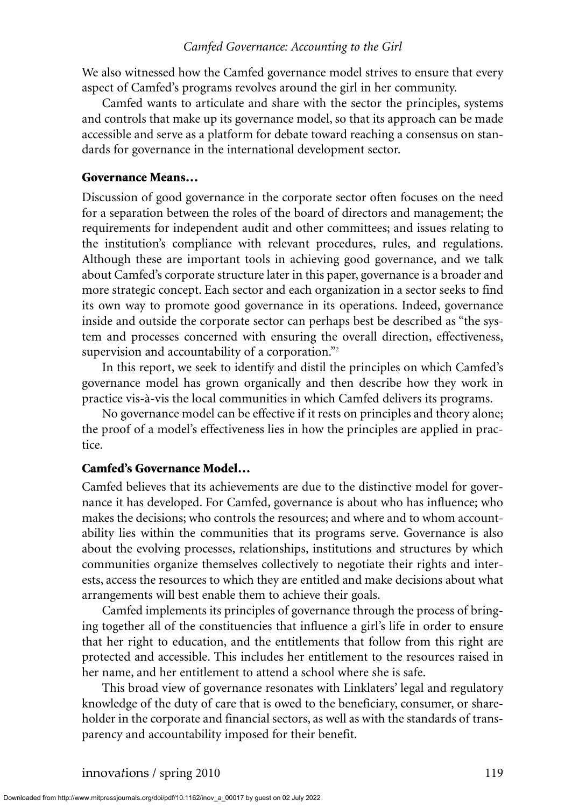We also witnessed how the Camfed governance model strives to ensure that every aspect of Camfed's programs revolves around the girl in her community.

Camfed wants to articulate and share with the sector the principles, systems and controls that make up its governance model, so that its approach can be made accessible and serve as a platform for debate toward reaching a consensus on standards for governance in the international development sector.

## **Governance Means…**

Discussion of good governance in the corporate sector often focuses on the need for a separation between the roles of the board of directors and management; the requirements for independent audit and other committees; and issues relating to the institution's compliance with relevant procedures, rules, and regulations. Although these are important tools in achieving good governance, and we talk about Camfed's corporate structure later in this paper, governance is a broader and more strategic concept. Each sector and each organization in a sector seeks to find its own way to promote good governance in its operations. Indeed, governance inside and outside the corporate sector can perhaps best be described as "the system and processes concerned with ensuring the overall direction, effectiveness, supervision and accountability of a corporation."<sup>2</sup>

In this report, we seek to identify and distil the principles on which Camfed's governance model has grown organically and then describe how they work in practice vis-à-vis the local communities in which Camfed delivers its programs.

No governance model can be effective if it rests on principles and theory alone; the proof of a model's effectiveness lies in how the principles are applied in practice.

# **Camfed's Governance Model…**

Camfed believes that its achievements are due to the distinctive model for governance it has developed. For Camfed, governance is about who has influence; who makes the decisions; who controls the resources; and where and to whom accountability lies within the communities that its programs serve. Governance is also about the evolving processes, relationships, institutions and structures by which communities organize themselves collectively to negotiate their rights and interests, access the resources to which they are entitled and make decisions about what arrangements will best enable them to achieve their goals.

Camfed implements its principles of governance through the process of bringing together all of the constituencies that influence a girl's life in order to ensure that her right to education, and the entitlements that follow from this right are protected and accessible. This includes her entitlement to the resources raised in her name, and her entitlement to attend a school where she is safe.

This broad view of governance resonates with Linklaters' legal and regulatory knowledge of the duty of care that is owed to the beneficiary, consumer, or shareholder in the corporate and financial sectors, as well as with the standards of transparency and accountability imposed for their benefit.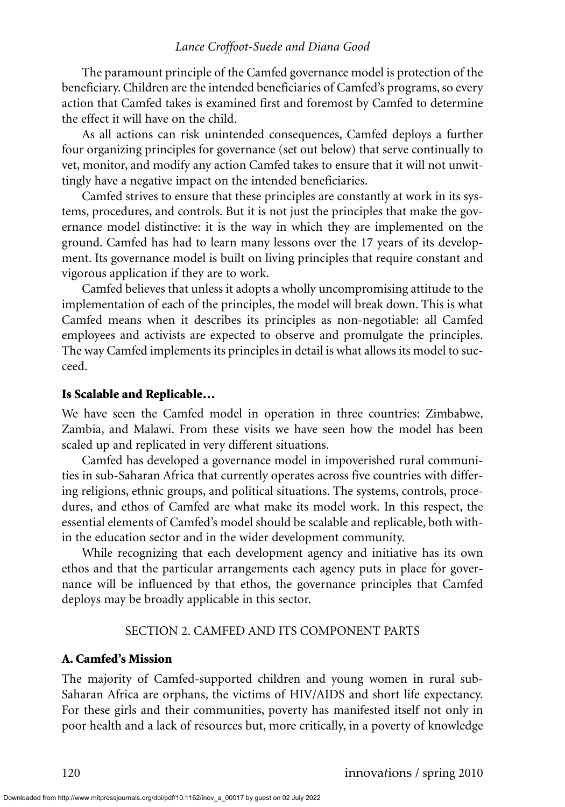The paramount principle of the Camfed governance model is protection of the beneficiary. Children are the intended beneficiaries of Camfed's programs, so every action that Camfed takes is examined first and foremost by Camfed to determine the effect it will have on the child.

As all actions can risk unintended consequences, Camfed deploys a further four organizing principles for governance (set out below) that serve continually to vet, monitor, and modify any action Camfed takes to ensure that it will not unwittingly have a negative impact on the intended beneficiaries.

Camfed strives to ensure that these principles are constantly at work in its systems, procedures, and controls. But it is not just the principles that make the governance model distinctive: it is the way in which they are implemented on the ground. Camfed has had to learn many lessons over the 17 years of its development. Its governance model is built on living principles that require constant and vigorous application if they are to work.

Camfed believes that unless it adopts a wholly uncompromising attitude to the implementation of each of the principles, the model will break down. This is what Camfed means when it describes its principles as non-negotiable: all Camfed employees and activists are expected to observe and promulgate the principles. The way Camfed implements its principles in detail is what allows its model to succeed.

### **Is Scalable and Replicable…**

We have seen the Camfed model in operation in three countries: Zimbabwe, Zambia, and Malawi. From these visits we have seen how the model has been scaled up and replicated in very different situations.

Camfed has developed a governance model in impoverished rural communities in sub-Saharan Africa that currently operates across five countries with differing religions, ethnic groups, and political situations. The systems, controls, procedures, and ethos of Camfed are what make its model work. In this respect, the essential elements of Camfed's model should be scalable and replicable, both within the education sector and in the wider development community.

While recognizing that each development agency and initiative has its own ethos and that the particular arrangements each agency puts in place for governance will be influenced by that ethos, the governance principles that Camfed deploys may be broadly applicable in this sector.

#### SECTION 2. CAMFED AND ITS COMPONENT PARTS

#### **A. Camfed's Mission**

The majority of Camfed-supported children and young women in rural sub-Saharan Africa are orphans, the victims of HIV/AIDS and short life expectancy. For these girls and their communities, poverty has manifested itself not only in poor health and a lack of resources but, more critically, in a poverty of knowledge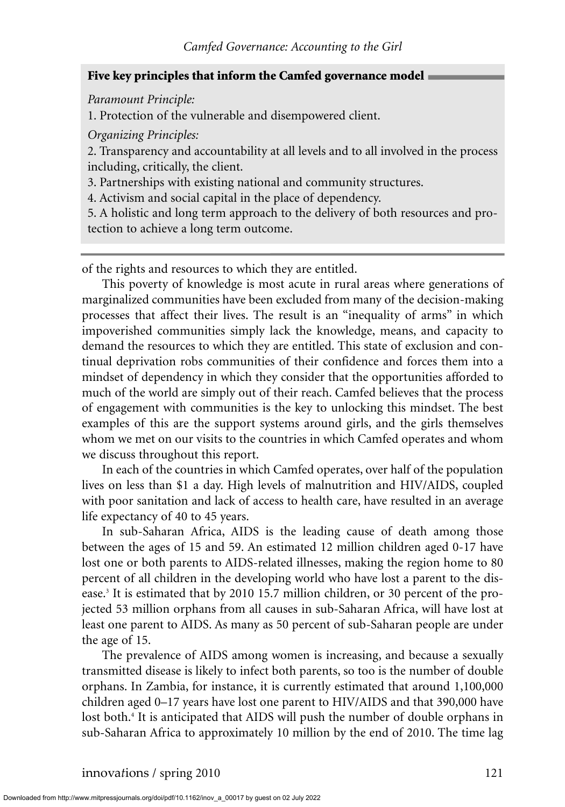#### **Five key principles that inform the Camfed governance model**

*Paramount Principle:* 

1. Protection of the vulnerable and disempowered client.

*Organizing Principles:* 

2. Transparency and accountability at all levels and to all involved in the process including, critically, the client.

3. Partnerships with existing national and community structures.

4. Activism and social capital in the place of dependency.

5. A holistic and long term approach to the delivery of both resources and protection to achieve a long term outcome.

of the rights and resources to which they are entitled.

This poverty of knowledge is most acute in rural areas where generations of marginalized communities have been excluded from many of the decision-making processes that affect their lives. The result is an "inequality of arms" in which impoverished communities simply lack the knowledge, means, and capacity to demand the resources to which they are entitled. This state of exclusion and continual deprivation robs communities of their confidence and forces them into a mindset of dependency in which they consider that the opportunities afforded to much of the world are simply out of their reach. Camfed believes that the process of engagement with communities is the key to unlocking this mindset. The best examples of this are the support systems around girls, and the girls themselves whom we met on our visits to the countries in which Camfed operates and whom we discuss throughout this report.

In each of the countries in which Camfed operates, over half of the population lives on less than \$1 a day. High levels of malnutrition and HIV/AIDS, coupled with poor sanitation and lack of access to health care, have resulted in an average life expectancy of 40 to 45 years.

In sub-Saharan Africa, AIDS is the leading cause of death among those between the ages of 15 and 59. An estimated 12 million children aged 0-17 have lost one or both parents to AIDS-related illnesses, making the region home to 80 percent of all children in the developing world who have lost a parent to the disease.<sup>3</sup> It is estimated that by 2010 15.7 million children, or 30 percent of the projected 53 million orphans from all causes in sub-Saharan Africa, will have lost at least one parent to AIDS. As many as 50 percent of sub-Saharan people are under the age of 15.

The prevalence of AIDS among women is increasing, and because a sexually transmitted disease is likely to infect both parents, so too is the number of double orphans. In Zambia, for instance, it is currently estimated that around 1,100,000 children aged 0–17 years have lost one parent to HIV/AIDS and that 390,000 have lost both.<sup>4</sup> It is anticipated that AIDS will push the number of double orphans in sub-Saharan Africa to approximately 10 million by the end of 2010. The time lag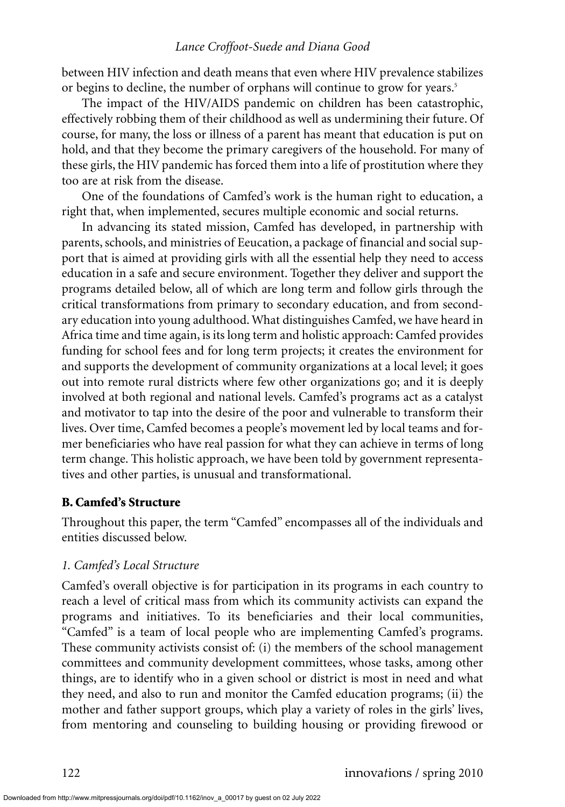between HIV infection and death means that even where HIV prevalence stabilizes or begins to decline, the number of orphans will continue to grow for years.<sup>5</sup>

The impact of the HIV/AIDS pandemic on children has been catastrophic, effectively robbing them of their childhood as well as undermining their future. Of course, for many, the loss or illness of a parent has meant that education is put on hold, and that they become the primary caregivers of the household. For many of these girls, the HIV pandemic has forced them into a life of prostitution where they too are at risk from the disease.

One of the foundations of Camfed's work is the human right to education, a right that, when implemented, secures multiple economic and social returns.

In advancing its stated mission, Camfed has developed, in partnership with parents, schools, and ministries of Eeucation, a package of financial and social support that is aimed at providing girls with all the essential help they need to access education in a safe and secure environment. Together they deliver and support the programs detailed below, all of which are long term and follow girls through the critical transformations from primary to secondary education, and from secondary education into young adulthood. What distinguishes Camfed, we have heard in Africa time and time again, is its long term and holistic approach: Camfed provides funding for school fees and for long term projects; it creates the environment for and supports the development of community organizations at a local level; it goes out into remote rural districts where few other organizations go; and it is deeply involved at both regional and national levels. Camfed's programs act as a catalyst and motivator to tap into the desire of the poor and vulnerable to transform their lives. Over time, Camfed becomes a people's movement led by local teams and former beneficiaries who have real passion for what they can achieve in terms of long term change. This holistic approach, we have been told by government representatives and other parties, is unusual and transformational.

## **B. Camfed's Structure**

Throughout this paper, the term "Camfed" encompasses all of the individuals and entities discussed below.

## *1. Camfed's Local Structure*

Camfed's overall objective is for participation in its programs in each country to reach a level of critical mass from which its community activists can expand the programs and initiatives. To its beneficiaries and their local communities, "Camfed" is a team of local people who are implementing Camfed's programs. These community activists consist of: (i) the members of the school management committees and community development committees, whose tasks, among other things, are to identify who in a given school or district is most in need and what they need, and also to run and monitor the Camfed education programs; (ii) the mother and father support groups, which play a variety of roles in the girls' lives, from mentoring and counseling to building housing or providing firewood or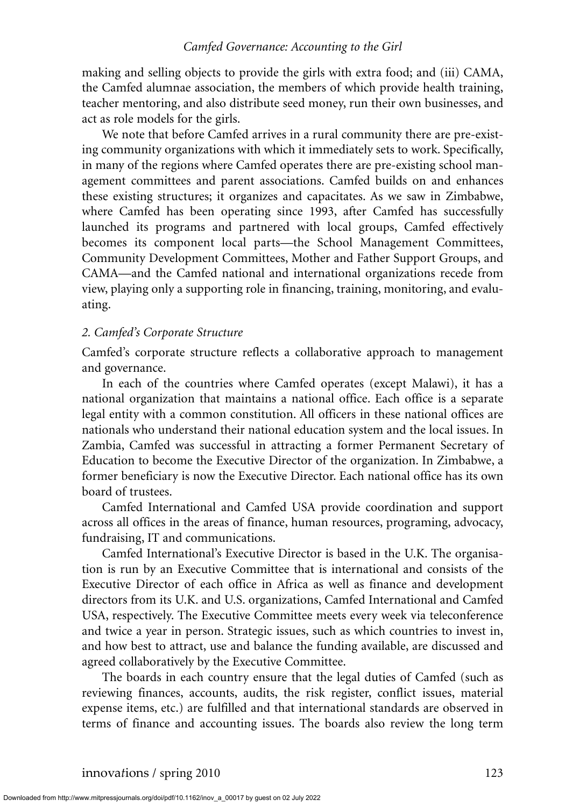making and selling objects to provide the girls with extra food; and (iii) CAMA, the Camfed alumnae association, the members of which provide health training, teacher mentoring, and also distribute seed money, run their own businesses, and act as role models for the girls.

We note that before Camfed arrives in a rural community there are pre-existing community organizations with which it immediately sets to work. Specifically, in many of the regions where Camfed operates there are pre-existing school management committees and parent associations. Camfed builds on and enhances these existing structures; it organizes and capacitates. As we saw in Zimbabwe, where Camfed has been operating since 1993, after Camfed has successfully launched its programs and partnered with local groups, Camfed effectively becomes its component local parts—the School Management Committees, Community Development Committees, Mother and Father Support Groups, and CAMA—and the Camfed national and international organizations recede from view, playing only a supporting role in financing, training, monitoring, and evaluating.

## *2. Camfed's Corporate Structure*

Camfed's corporate structure reflects a collaborative approach to management and governance.

In each of the countries where Camfed operates (except Malawi), it has a national organization that maintains a national office. Each office is a separate legal entity with a common constitution. All officers in these national offices are nationals who understand their national education system and the local issues. In Zambia, Camfed was successful in attracting a former Permanent Secretary of Education to become the Executive Director of the organization. In Zimbabwe, a former beneficiary is now the Executive Director. Each national office has its own board of trustees.

Camfed International and Camfed USA provide coordination and support across all offices in the areas of finance, human resources, programing, advocacy, fundraising, IT and communications.

Camfed International's Executive Director is based in the U.K. The organisation is run by an Executive Committee that is international and consists of the Executive Director of each office in Africa as well as finance and development directors from its U.K. and U.S. organizations, Camfed International and Camfed USA, respectively. The Executive Committee meets every week via teleconference and twice a year in person. Strategic issues, such as which countries to invest in, and how best to attract, use and balance the funding available, are discussed and agreed collaboratively by the Executive Committee.

The boards in each country ensure that the legal duties of Camfed (such as reviewing finances, accounts, audits, the risk register, conflict issues, material expense items, etc.) are fulfilled and that international standards are observed in terms of finance and accounting issues. The boards also review the long term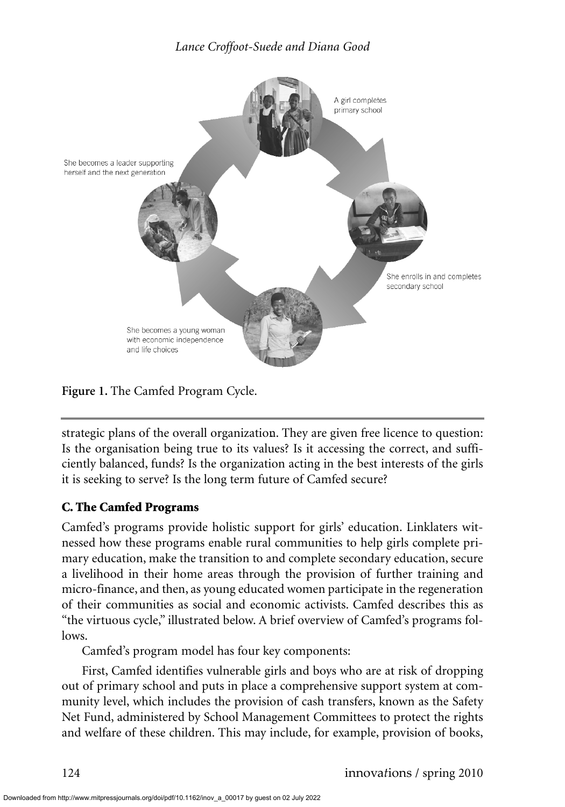

**Figure 1.** The Camfed Program Cycle.

strategic plans of the overall organization. They are given free licence to question: *.* Is the organisation being true to its values? Is it accessing the correct, and sufficiently balanced, funds? Is the organization acting in the best interests of the girls it is seeking to serve? Is the long term future of Camfed secure?

# **C. The Camfed Programs**

Camfed's programs provide holistic support for girls' education. Linklaters witnessed how these programs enable rural communities to help girls complete primary education, make the transition to and complete secondary education, secure a livelihood in their home areas through the provision of further training and micro-finance, and then, as young educated women participate in the regeneration of their communities as social and economic activists. Camfed describes this as "the virtuous cycle," illustrated below. A brief overview of Camfed's programs follows.

Camfed's program model has four key components:

First, Camfed identifies vulnerable girls and boys who are at risk of dropping out of primary school and puts in place a comprehensive support system at community level, which includes the provision of cash transfers, known as the Safety Net Fund, administered by School Management Committees to protect the rights and welfare of these children. This may include, for example, provision of books,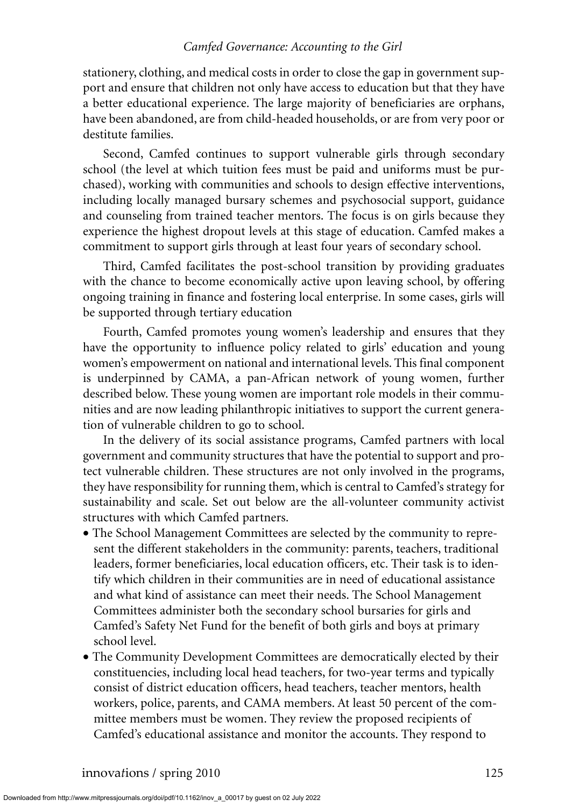stationery, clothing, and medical costs in order to close the gap in government support and ensure that children not only have access to education but that they have a better educational experience. The large majority of beneficiaries are orphans, have been abandoned, are from child-headed households, or are from very poor or destitute families.

Second, Camfed continues to support vulnerable girls through secondary school (the level at which tuition fees must be paid and uniforms must be purchased), working with communities and schools to design effective interventions, including locally managed bursary schemes and psychosocial support, guidance and counseling from trained teacher mentors. The focus is on girls because they experience the highest dropout levels at this stage of education. Camfed makes a commitment to support girls through at least four years of secondary school.

Third, Camfed facilitates the post-school transition by providing graduates with the chance to become economically active upon leaving school, by offering ongoing training in finance and fostering local enterprise. In some cases, girls will be supported through tertiary education

Fourth, Camfed promotes young women's leadership and ensures that they have the opportunity to influence policy related to girls' education and young women's empowerment on national and international levels. This final component is underpinned by CAMA, a pan-African network of young women, further described below. These young women are important role models in their communities and are now leading philanthropic initiatives to support the current generation of vulnerable children to go to school.

In the delivery of its social assistance programs, Camfed partners with local government and community structures that have the potential to support and protect vulnerable children. These structures are not only involved in the programs, they have responsibility for running them, which is central to Camfed's strategy for sustainability and scale. Set out below are the all-volunteer community activist structures with which Camfed partners.

- The School Management Committees are selected by the community to represent the different stakeholders in the community: parents, teachers, traditional leaders, former beneficiaries, local education officers, etc. Their task is to identify which children in their communities are in need of educational assistance and what kind of assistance can meet their needs. The School Management Committees administer both the secondary school bursaries for girls and Camfed's Safety Net Fund for the benefit of both girls and boys at primary school level.
- The Community Development Committees are democratically elected by their constituencies, including local head teachers, for two-year terms and typically consist of district education officers, head teachers, teacher mentors, health workers, police, parents, and CAMA members. At least 50 percent of the committee members must be women. They review the proposed recipients of Camfed's educational assistance and monitor the accounts. They respond to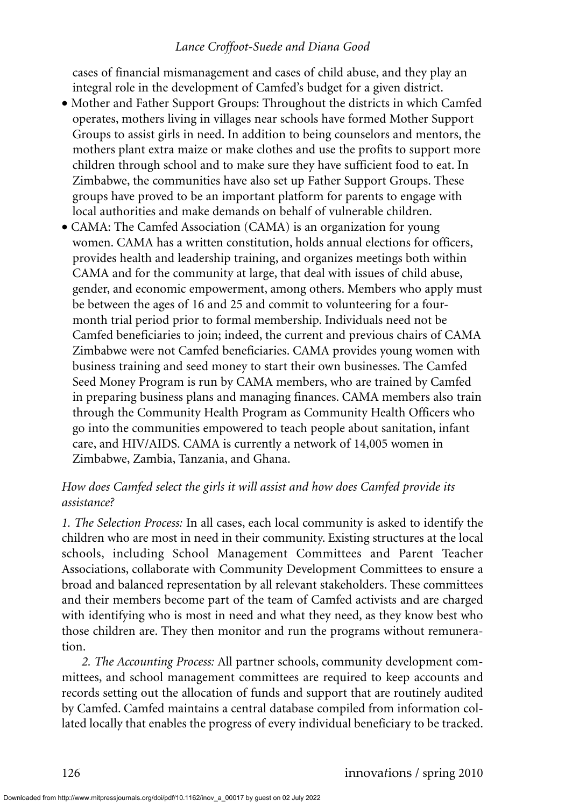cases of financial mismanagement and cases of child abuse, and they play an integral role in the development of Camfed's budget for a given district.

- Mother and Father Support Groups: Throughout the districts in which Camfed operates, mothers living in villages near schools have formed Mother Support Groups to assist girls in need. In addition to being counselors and mentors, the mothers plant extra maize or make clothes and use the profits to support more children through school and to make sure they have sufficient food to eat. In Zimbabwe, the communities have also set up Father Support Groups. These groups have proved to be an important platform for parents to engage with local authorities and make demands on behalf of vulnerable children.
- CAMA: The Camfed Association (CAMA) is an organization for young women. CAMA has a written constitution, holds annual elections for officers, provides health and leadership training, and organizes meetings both within CAMA and for the community at large, that deal with issues of child abuse, gender, and economic empowerment, among others. Members who apply must be between the ages of 16 and 25 and commit to volunteering for a fourmonth trial period prior to formal membership. Individuals need not be Camfed beneficiaries to join; indeed, the current and previous chairs of CAMA Zimbabwe were not Camfed beneficiaries. CAMA provides young women with business training and seed money to start their own businesses. The Camfed Seed Money Program is run by CAMA members, who are trained by Camfed in preparing business plans and managing finances. CAMA members also train through the Community Health Program as Community Health Officers who go into the communities empowered to teach people about sanitation, infant care, and HIV/AIDS. CAMA is currently a network of 14,005 women in Zimbabwe, Zambia, Tanzania, and Ghana.

# *How does Camfed select the girls it will assist and how does Camfed provide its assistance?*

*1. The Selection Process:* In all cases, each local community is asked to identify the children who are most in need in their community. Existing structures at the local schools, including School Management Committees and Parent Teacher Associations, collaborate with Community Development Committees to ensure a broad and balanced representation by all relevant stakeholders. These committees and their members become part of the team of Camfed activists and are charged with identifying who is most in need and what they need, as they know best who those children are. They then monitor and run the programs without remuneration.

*2. The Accounting Process:* All partner schools, community development committees, and school management committees are required to keep accounts and records setting out the allocation of funds and support that are routinely audited by Camfed. Camfed maintains a central database compiled from information collated locally that enables the progress of every individual beneficiary to be tracked.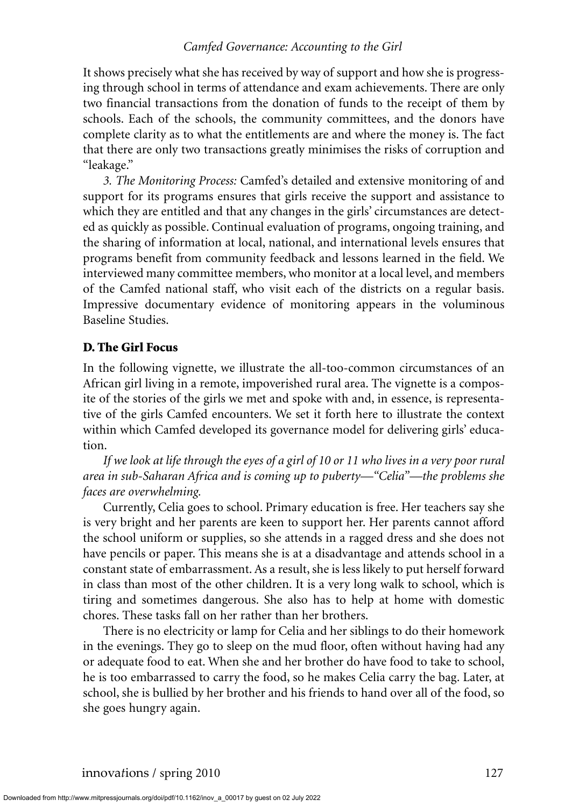It shows precisely what she has received by way of support and how she is progressing through school in terms of attendance and exam achievements. There are only two financial transactions from the donation of funds to the receipt of them by schools. Each of the schools, the community committees, and the donors have complete clarity as to what the entitlements are and where the money is. The fact that there are only two transactions greatly minimises the risks of corruption and "leakage."

*3. The Monitoring Process:* Camfed's detailed and extensive monitoring of and support for its programs ensures that girls receive the support and assistance to which they are entitled and that any changes in the girls' circumstances are detected as quickly as possible. Continual evaluation of programs, ongoing training, and the sharing of information at local, national, and international levels ensures that programs benefit from community feedback and lessons learned in the field. We interviewed many committee members, who monitor at a local level, and members of the Camfed national staff, who visit each of the districts on a regular basis. Impressive documentary evidence of monitoring appears in the voluminous Baseline Studies.

# **D. The Girl Focus**

In the following vignette, we illustrate the all-too-common circumstances of an African girl living in a remote, impoverished rural area. The vignette is a composite of the stories of the girls we met and spoke with and, in essence, is representative of the girls Camfed encounters. We set it forth here to illustrate the context within which Camfed developed its governance model for delivering girls' education.

*If we look at life through the eyes of a girl of 10 or 11 who lives in a very poor rural area in sub-Saharan Africa and is coming up to puberty—"Celia"—the problems she faces are overwhelming.*

Currently, Celia goes to school. Primary education is free. Her teachers say she is very bright and her parents are keen to support her. Her parents cannot afford the school uniform or supplies, so she attends in a ragged dress and she does not have pencils or paper. This means she is at a disadvantage and attends school in a constant state of embarrassment. As a result, she is less likely to put herself forward in class than most of the other children. It is a very long walk to school, which is tiring and sometimes dangerous. She also has to help at home with domestic chores. These tasks fall on her rather than her brothers.

There is no electricity or lamp for Celia and her siblings to do their homework in the evenings. They go to sleep on the mud floor, often without having had any or adequate food to eat. When she and her brother do have food to take to school, he is too embarrassed to carry the food, so he makes Celia carry the bag. Later, at school, she is bullied by her brother and his friends to hand over all of the food, so she goes hungry again.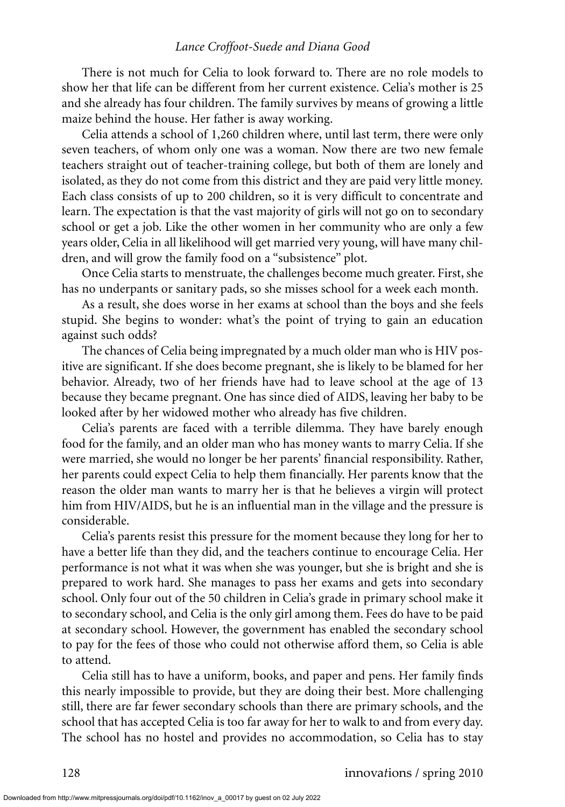There is not much for Celia to look forward to. There are no role models to show her that life can be different from her current existence. Celia's mother is 25 and she already has four children. The family survives by means of growing a little maize behind the house. Her father is away working.

Celia attends a school of 1,260 children where, until last term, there were only seven teachers, of whom only one was a woman. Now there are two new female teachers straight out of teacher-training college, but both of them are lonely and isolated, as they do not come from this district and they are paid very little money. Each class consists of up to 200 children, so it is very difficult to concentrate and learn. The expectation is that the vast majority of girls will not go on to secondary school or get a job. Like the other women in her community who are only a few years older, Celia in all likelihood will get married very young, will have many children, and will grow the family food on a "subsistence" plot.

Once Celia starts to menstruate, the challenges become much greater. First, she has no underpants or sanitary pads, so she misses school for a week each month.

As a result, she does worse in her exams at school than the boys and she feels stupid. She begins to wonder: what's the point of trying to gain an education against such odds?

The chances of Celia being impregnated by a much older man who is HIV positive are significant. If she does become pregnant, she is likely to be blamed for her behavior. Already, two of her friends have had to leave school at the age of 13 because they became pregnant. One has since died of AIDS, leaving her baby to be looked after by her widowed mother who already has five children.

Celia's parents are faced with a terrible dilemma. They have barely enough food for the family, and an older man who has money wants to marry Celia. If she were married, she would no longer be her parents' financial responsibility. Rather, her parents could expect Celia to help them financially. Her parents know that the reason the older man wants to marry her is that he believes a virgin will protect him from HIV/AIDS, but he is an influential man in the village and the pressure is considerable.

Celia's parents resist this pressure for the moment because they long for her to have a better life than they did, and the teachers continue to encourage Celia. Her performance is not what it was when she was younger, but she is bright and she is prepared to work hard. She manages to pass her exams and gets into secondary school. Only four out of the 50 children in Celia's grade in primary school make it to secondary school, and Celia is the only girl among them. Fees do have to be paid at secondary school. However, the government has enabled the secondary school to pay for the fees of those who could not otherwise afford them, so Celia is able to attend.

Celia still has to have a uniform, books, and paper and pens. Her family finds this nearly impossible to provide, but they are doing their best. More challenging still, there are far fewer secondary schools than there are primary schools, and the school that has accepted Celia is too far away for her to walk to and from every day. The school has no hostel and provides no accommodation, so Celia has to stay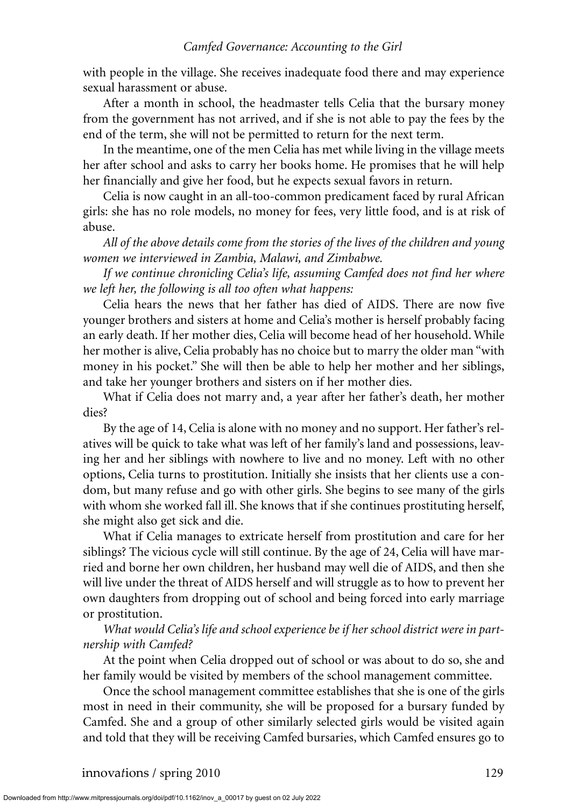with people in the village. She receives inadequate food there and may experience sexual harassment or abuse.

After a month in school, the headmaster tells Celia that the bursary money from the government has not arrived, and if she is not able to pay the fees by the end of the term, she will not be permitted to return for the next term.

In the meantime, one of the men Celia has met while living in the village meets her after school and asks to carry her books home. He promises that he will help her financially and give her food, but he expects sexual favors in return.

Celia is now caught in an all-too-common predicament faced by rural African girls: she has no role models, no money for fees, very little food, and is at risk of abuse.

*All of the above details come from the stories of the lives of the children and young women we interviewed in Zambia, Malawi, and Zimbabwe.*

*If we continue chronicling Celia's life, assuming Camfed does not find her where we left her, the following is all too often what happens:* 

Celia hears the news that her father has died of AIDS. There are now five younger brothers and sisters at home and Celia's mother is herself probably facing an early death. If her mother dies, Celia will become head of her household. While her mother is alive, Celia probably has no choice but to marry the older man "with money in his pocket." She will then be able to help her mother and her siblings, and take her younger brothers and sisters on if her mother dies.

What if Celia does not marry and, a year after her father's death, her mother dies?

By the age of 14, Celia is alone with no money and no support. Her father's relatives will be quick to take what was left of her family's land and possessions, leaving her and her siblings with nowhere to live and no money. Left with no other options, Celia turns to prostitution. Initially she insists that her clients use a condom, but many refuse and go with other girls. She begins to see many of the girls with whom she worked fall ill. She knows that if she continues prostituting herself, she might also get sick and die.

What if Celia manages to extricate herself from prostitution and care for her siblings? The vicious cycle will still continue. By the age of 24, Celia will have married and borne her own children, her husband may well die of AIDS, and then she will live under the threat of AIDS herself and will struggle as to how to prevent her own daughters from dropping out of school and being forced into early marriage or prostitution.

*What would Celia's life and school experience be if her school district were in partnership with Camfed?*

At the point when Celia dropped out of school or was about to do so, she and her family would be visited by members of the school management committee.

Once the school management committee establishes that she is one of the girls most in need in their community, she will be proposed for a bursary funded by Camfed. She and a group of other similarly selected girls would be visited again and told that they will be receiving Camfed bursaries, which Camfed ensures go to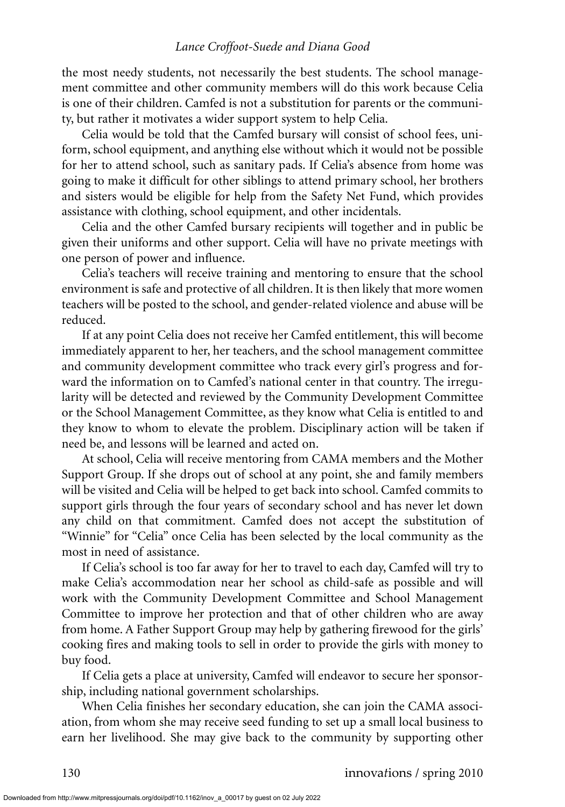the most needy students, not necessarily the best students. The school management committee and other community members will do this work because Celia is one of their children. Camfed is not a substitution for parents or the community, but rather it motivates a wider support system to help Celia.

Celia would be told that the Camfed bursary will consist of school fees, uniform, school equipment, and anything else without which it would not be possible for her to attend school, such as sanitary pads. If Celia's absence from home was going to make it difficult for other siblings to attend primary school, her brothers and sisters would be eligible for help from the Safety Net Fund, which provides assistance with clothing, school equipment, and other incidentals.

Celia and the other Camfed bursary recipients will together and in public be given their uniforms and other support. Celia will have no private meetings with one person of power and influence.

Celia's teachers will receive training and mentoring to ensure that the school environment is safe and protective of all children. It is then likely that more women teachers will be posted to the school, and gender-related violence and abuse will be reduced.

If at any point Celia does not receive her Camfed entitlement, this will become immediately apparent to her, her teachers, and the school management committee and community development committee who track every girl's progress and forward the information on to Camfed's national center in that country. The irregularity will be detected and reviewed by the Community Development Committee or the School Management Committee, as they know what Celia is entitled to and they know to whom to elevate the problem. Disciplinary action will be taken if need be, and lessons will be learned and acted on.

At school, Celia will receive mentoring from CAMA members and the Mother Support Group. If she drops out of school at any point, she and family members will be visited and Celia will be helped to get back into school. Camfed commits to support girls through the four years of secondary school and has never let down any child on that commitment. Camfed does not accept the substitution of "Winnie" for "Celia" once Celia has been selected by the local community as the most in need of assistance.

If Celia's school is too far away for her to travel to each day, Camfed will try to make Celia's accommodation near her school as child-safe as possible and will work with the Community Development Committee and School Management Committee to improve her protection and that of other children who are away from home. A Father Support Group may help by gathering firewood for the girls' cooking fires and making tools to sell in order to provide the girls with money to buy food.

If Celia gets a place at university, Camfed will endeavor to secure her sponsorship, including national government scholarships.

When Celia finishes her secondary education, she can join the CAMA association, from whom she may receive seed funding to set up a small local business to earn her livelihood. She may give back to the community by supporting other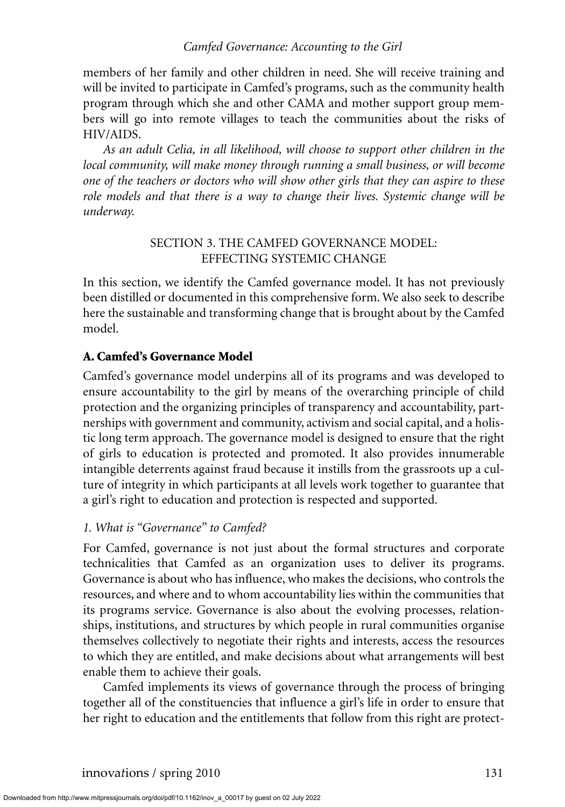members of her family and other children in need. She will receive training and will be invited to participate in Camfed's programs, such as the community health program through which she and other CAMA and mother support group members will go into remote villages to teach the communities about the risks of HIV/AIDS.

*As an adult Celia, in all likelihood, will choose to support other children in the local community, will make money through running a small business, or will become one of the teachers or doctors who will show other girls that they can aspire to these role models and that there is a way to change their lives. Systemic change will be underway.*

# SECTION 3. THE CAMFED GOVERNANCE MODEL: EFFECTING SYSTEMIC CHANGE

In this section, we identify the Camfed governance model. It has not previously been distilled or documented in this comprehensive form. We also seek to describe here the sustainable and transforming change that is brought about by the Camfed model.

# **A. Camfed's Governance Model**

Camfed's governance model underpins all of its programs and was developed to ensure accountability to the girl by means of the overarching principle of child protection and the organizing principles of transparency and accountability, partnerships with government and community, activism and social capital, and a holistic long term approach. The governance model is designed to ensure that the right of girls to education is protected and promoted. It also provides innumerable intangible deterrents against fraud because it instills from the grassroots up a culture of integrity in which participants at all levels work together to guarantee that a girl's right to education and protection is respected and supported.

# *1. What is "Governance" to Camfed?*

For Camfed, governance is not just about the formal structures and corporate technicalities that Camfed as an organization uses to deliver its programs. Governance is about who has influence, who makes the decisions, who controls the resources, and where and to whom accountability lies within the communities that its programs service. Governance is also about the evolving processes, relationships, institutions, and structures by which people in rural communities organise themselves collectively to negotiate their rights and interests, access the resources to which they are entitled, and make decisions about what arrangements will best enable them to achieve their goals.

Camfed implements its views of governance through the process of bringing together all of the constituencies that influence a girl's life in order to ensure that her right to education and the entitlements that follow from this right are protect-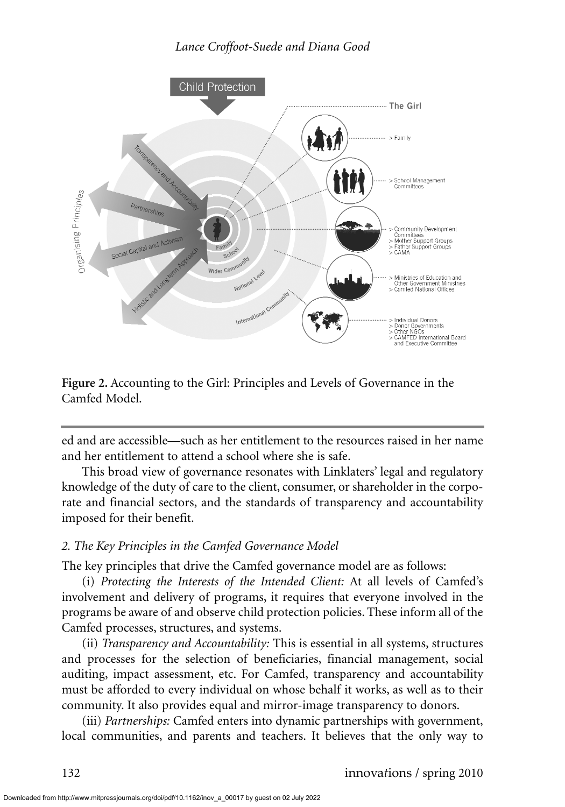

**Figure 2.** Accounting to the Girl: Principles and Levels of Governance in the Camfed Model.

ed and are accessible—such as her entitlement to the resources raised in her name and her entitlement to attend a school where she is safe.

This broad view of governance resonates with Linklaters' legal and regulatory knowledge of the duty of care to the client, consumer, or shareholder in the corporate and financial sectors, and the standards of transparency and accountability imposed for their benefit.

#### *2. The Key Principles in the Camfed Governance Model*

The key principles that drive the Camfed governance model are as follows:

(i) *Protecting the Interests of the Intended Client:* At all levels of Camfed's involvement and delivery of programs, it requires that everyone involved in the programs be aware of and observe child protection policies. These inform all of the Camfed processes, structures, and systems.

(ii) *Transparency and Accountability:* This is essential in all systems, structures and processes for the selection of beneficiaries, financial management, social auditing, impact assessment, etc. For Camfed, transparency and accountability must be afforded to every individual on whose behalf it works, as well as to their community. It also provides equal and mirror-image transparency to donors.

(iii) *Partnerships:* Camfed enters into dynamic partnerships with government, local communities, and parents and teachers. It believes that the only way to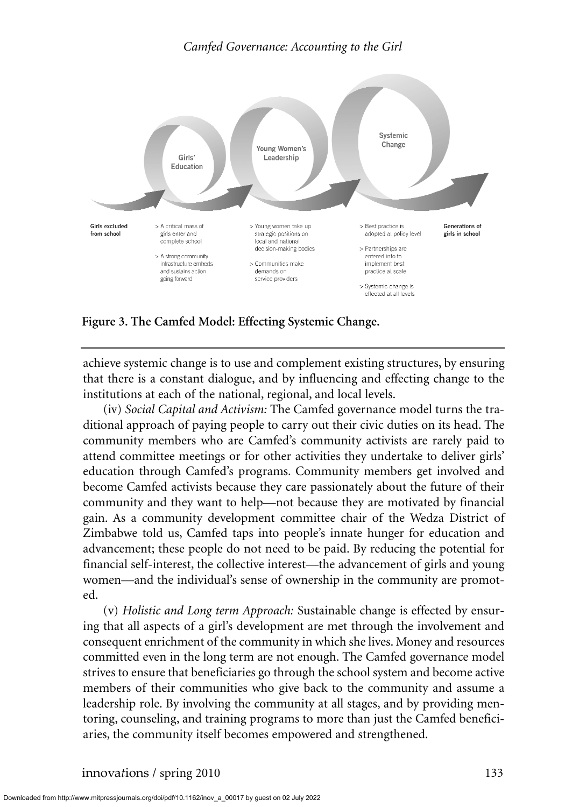

**Figure 3. The Camfed Model: Effecting Systemic Change.**

achieve systemic change is to use and complement existing structures, by ensuring that there is a constant dialogue, and by influencing and effecting change to the institutions at each of the national, regional, and local levels.

(iv) *Social Capital and Activism:* The Camfed governance model turns the traditional approach of paying people to carry out their civic duties on its head. The community members who are Camfed's community activists are rarely paid to attend committee meetings or for other activities they undertake to deliver girls' education through Camfed's programs. Community members get involved and become Camfed activists because they care passionately about the future of their community and they want to help—not because they are motivated by financial gain. As a community development committee chair of the Wedza District of Zimbabwe told us, Camfed taps into people's innate hunger for education and advancement; these people do not need to be paid. By reducing the potential for financial self-interest, the collective interest—the advancement of girls and young women—and the individual's sense of ownership in the community are promoted.

(v) *Holistic and Long term Approach:* Sustainable change is effected by ensuring that all aspects of a girl's development are met through the involvement and consequent enrichment of the community in which she lives. Money and resources committed even in the long term are not enough. The Camfed governance model strives to ensure that beneficiaries go through the school system and become active members of their communities who give back to the community and assume a leadership role. By involving the community at all stages, and by providing mentoring, counseling, and training programs to more than just the Camfed beneficiaries, the community itself becomes empowered and strengthened.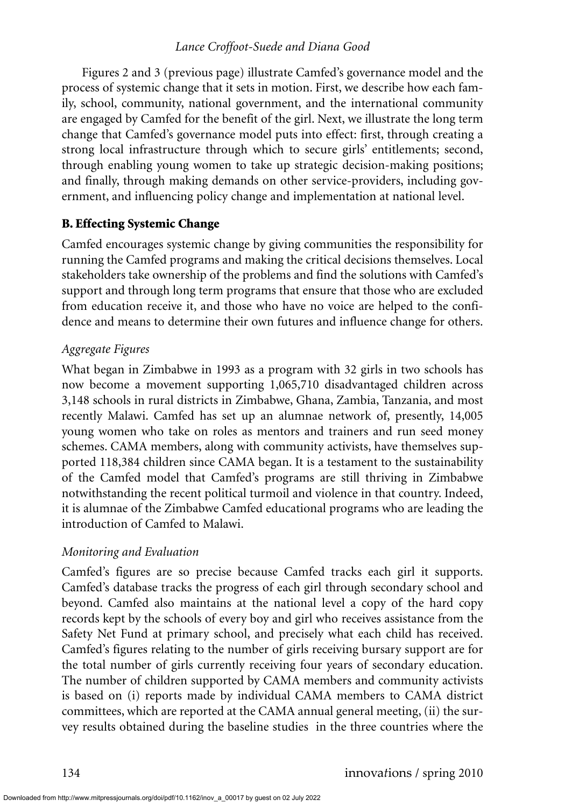Figures 2 and 3 (previous page) illustrate Camfed's governance model and the process of systemic change that it sets in motion. First, we describe how each family, school, community, national government, and the international community are engaged by Camfed for the benefit of the girl. Next, we illustrate the long term change that Camfed's governance model puts into effect: first, through creating a strong local infrastructure through which to secure girls' entitlements; second, through enabling young women to take up strategic decision-making positions; and finally, through making demands on other service-providers, including government, and influencing policy change and implementation at national level.

## **B. Effecting Systemic Change**

Camfed encourages systemic change by giving communities the responsibility for running the Camfed programs and making the critical decisions themselves. Local stakeholders take ownership of the problems and find the solutions with Camfed's support and through long term programs that ensure that those who are excluded from education receive it, and those who have no voice are helped to the confidence and means to determine their own futures and influence change for others.

# *Aggregate Figures*

What began in Zimbabwe in 1993 as a program with 32 girls in two schools has now become a movement supporting 1,065,710 disadvantaged children across 3,148 schools in rural districts in Zimbabwe, Ghana, Zambia, Tanzania, and most recently Malawi. Camfed has set up an alumnae network of, presently, 14,005 young women who take on roles as mentors and trainers and run seed money schemes. CAMA members, along with community activists, have themselves supported 118,384 children since CAMA began. It is a testament to the sustainability of the Camfed model that Camfed's programs are still thriving in Zimbabwe notwithstanding the recent political turmoil and violence in that country. Indeed, it is alumnae of the Zimbabwe Camfed educational programs who are leading the introduction of Camfed to Malawi.

## *Monitoring and Evaluation*

Camfed's figures are so precise because Camfed tracks each girl it supports. Camfed's database tracks the progress of each girl through secondary school and beyond. Camfed also maintains at the national level a copy of the hard copy records kept by the schools of every boy and girl who receives assistance from the Safety Net Fund at primary school, and precisely what each child has received. Camfed's figures relating to the number of girls receiving bursary support are for the total number of girls currently receiving four years of secondary education. The number of children supported by CAMA members and community activists is based on (i) reports made by individual CAMA members to CAMA district committees, which are reported at the CAMA annual general meeting, (ii) the survey results obtained during the baseline studies in the three countries where the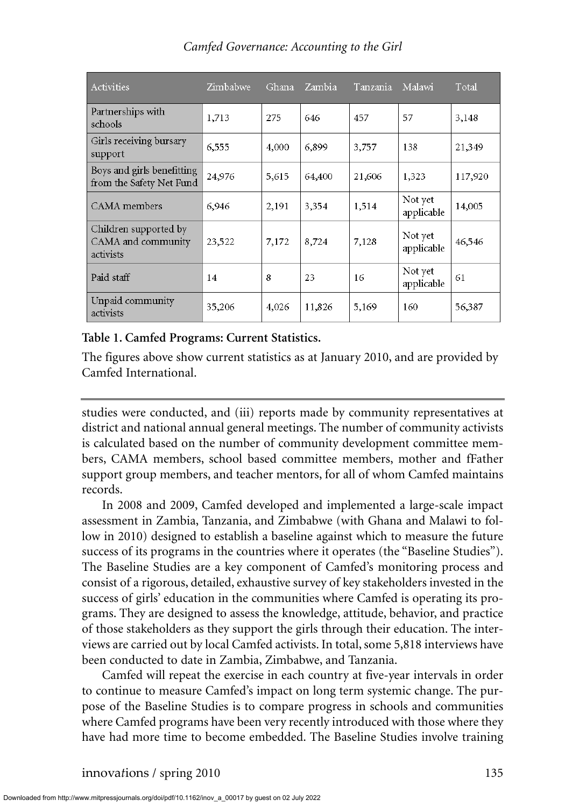| Activities                                               | Zimbabwe | Ghana. | Zambia. | Tanzania | Malawi                | Total   |
|----------------------------------------------------------|----------|--------|---------|----------|-----------------------|---------|
| Partnerships with<br>schools                             | 1.713    | 275    | 646     | 457      | 57                    | 3.148   |
| Girls receiving bursary<br>support                       | 6.555    | 4,000  | 6.899   | 3,757    | 138                   | 21,349  |
| Boys and girls benefitting<br>from the Safety Net Fund   | 24,976   | 5,615  | 64,400  | 21,606   | 1,323                 | 117,920 |
| CAMA members                                             | 6.946    | 2,191  | 3.354   | 1.514    | Not yet<br>applicable | 14,005  |
| Children supported by<br>CAMA and community<br>activists | 23,522   | 7,172  | 8,724   | 7,128    | Not yet<br>applicable | 46,546  |
| Paid staff                                               | 14       | 8      | 23      | 16       | Not yet<br>applicable | 61      |
| Unpaid community<br>activists                            | 35,206   | 4,026  | 11,826  | 5,169    | 160                   | 56,387  |

## **Table 1. Camfed Programs: Current Statistics.**

The figures above show current statistics as at January 2010, and are provided by Camfed International.

studies were conducted, and (iii) reports made by community representatives at district and national annual general meetings. The number of community activists is calculated based on the number of community development committee members, CAMA members, school based committee members, mother and fFather support group members, and teacher mentors, for all of whom Camfed maintains records.

In 2008 and 2009, Camfed developed and implemented a large-scale impact assessment in Zambia, Tanzania, and Zimbabwe (with Ghana and Malawi to follow in 2010) designed to establish a baseline against which to measure the future success of its programs in the countries where it operates (the "Baseline Studies"). The Baseline Studies are a key component of Camfed's monitoring process and consist of a rigorous, detailed, exhaustive survey of key stakeholders invested in the success of girls' education in the communities where Camfed is operating its programs. They are designed to assess the knowledge, attitude, behavior, and practice of those stakeholders as they support the girls through their education. The interviews are carried out by local Camfed activists. In total, some 5,818 interviews have been conducted to date in Zambia, Zimbabwe, and Tanzania.

Camfed will repeat the exercise in each country at five-year intervals in order to continue to measure Camfed's impact on long term systemic change. The purpose of the Baseline Studies is to compare progress in schools and communities where Camfed programs have been very recently introduced with those where they have had more time to become embedded. The Baseline Studies involve training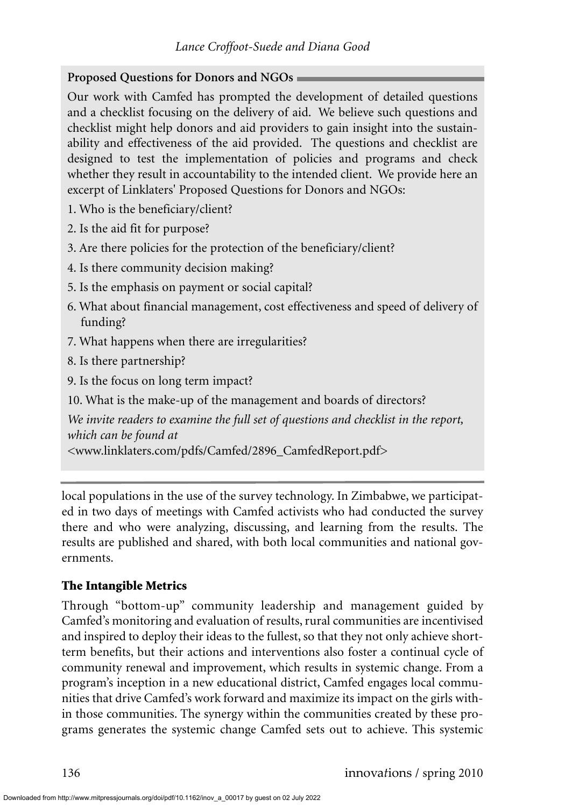# **Proposed Questions for Donors and NGOs**

Our work with Camfed has prompted the development of detailed questions and a checklist focusing on the delivery of aid. We believe such questions and checklist might help donors and aid providers to gain insight into the sustainability and effectiveness of the aid provided. The questions and checklist are designed to test the implementation of policies and programs and check whether they result in accountability to the intended client. We provide here an excerpt of Linklaters' Proposed Questions for Donors and NGOs:

1. Who is the beneficiary/client?

2. Is the aid fit for purpose?

3. Are there policies for the protection of the beneficiary/client?

4. Is there community decision making?

5. Is the emphasis on payment or social capital?

- 6. What about financial management, cost effectiveness and speed of delivery of funding?
- 7. What happens when there are irregularities?

8. Is there partnership?

9. Is the focus on long term impact?

10. What is the make-up of the management and boards of directors?

*We invite readers to examine the full set of questions and checklist in the report, which can be found at*

*<*www.linklaters.com/pdfs/Camfed/2896\_CamfedReport.pdf>

local populations in the use of the survey technology. In Zimbabwe, we participated in two days of meetings with Camfed activists who had conducted the survey there and who were analyzing, discussing, and learning from the results. The results are published and shared, with both local communities and national governments.

# **The Intangible Metrics**

Through "bottom-up" community leadership and management guided by Camfed's monitoring and evaluation of results, rural communities are incentivised and inspired to deploy their ideas to the fullest, so that they not only achieve shortterm benefits, but their actions and interventions also foster a continual cycle of community renewal and improvement, which results in systemic change. From a program's inception in a new educational district, Camfed engages local communities that drive Camfed's work forward and maximize its impact on the girls within those communities. The synergy within the communities created by these programs generates the systemic change Camfed sets out to achieve. This systemic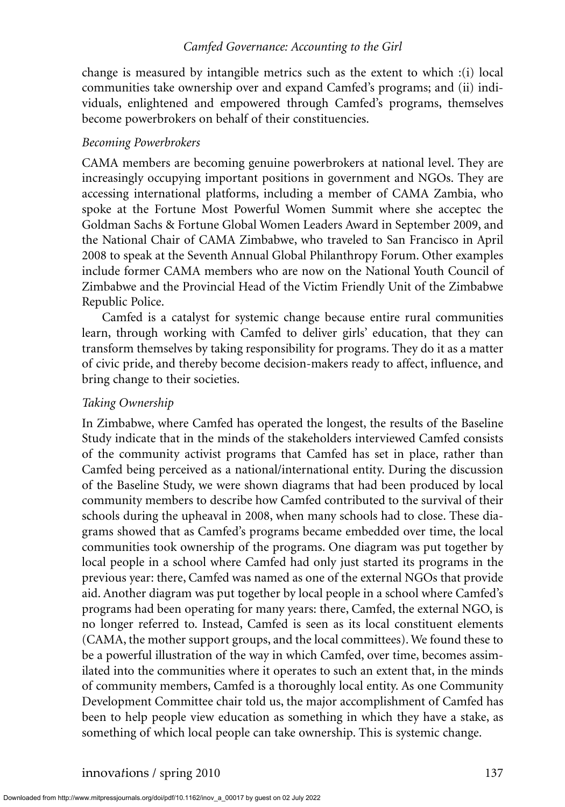change is measured by intangible metrics such as the extent to which :(i) local communities take ownership over and expand Camfed's programs; and (ii) individuals, enlightened and empowered through Camfed's programs, themselves become powerbrokers on behalf of their constituencies.

# *Becoming Powerbrokers*

CAMA members are becoming genuine powerbrokers at national level. They are increasingly occupying important positions in government and NGOs. They are accessing international platforms, including a member of CAMA Zambia, who spoke at the Fortune Most Powerful Women Summit where she acceptec the Goldman Sachs & Fortune Global Women Leaders Award in September 2009, and the National Chair of CAMA Zimbabwe, who traveled to San Francisco in April 2008 to speak at the Seventh Annual Global Philanthropy Forum. Other examples include former CAMA members who are now on the National Youth Council of Zimbabwe and the Provincial Head of the Victim Friendly Unit of the Zimbabwe Republic Police.

Camfed is a catalyst for systemic change because entire rural communities learn, through working with Camfed to deliver girls' education, that they can transform themselves by taking responsibility for programs. They do it as a matter of civic pride, and thereby become decision-makers ready to affect, influence, and bring change to their societies.

# *Taking Ownership*

In Zimbabwe, where Camfed has operated the longest, the results of the Baseline Study indicate that in the minds of the stakeholders interviewed Camfed consists of the community activist programs that Camfed has set in place, rather than Camfed being perceived as a national/international entity. During the discussion of the Baseline Study, we were shown diagrams that had been produced by local community members to describe how Camfed contributed to the survival of their schools during the upheaval in 2008, when many schools had to close. These diagrams showed that as Camfed's programs became embedded over time, the local communities took ownership of the programs. One diagram was put together by local people in a school where Camfed had only just started its programs in the previous year: there, Camfed was named as one of the external NGOs that provide aid. Another diagram was put together by local people in a school where Camfed's programs had been operating for many years: there, Camfed, the external NGO, is no longer referred to. Instead, Camfed is seen as its local constituent elements (CAMA, the mother support groups, and the local committees). We found these to be a powerful illustration of the way in which Camfed, over time, becomes assimilated into the communities where it operates to such an extent that, in the minds of community members, Camfed is a thoroughly local entity. As one Community Development Committee chair told us, the major accomplishment of Camfed has been to help people view education as something in which they have a stake, as something of which local people can take ownership. This is systemic change.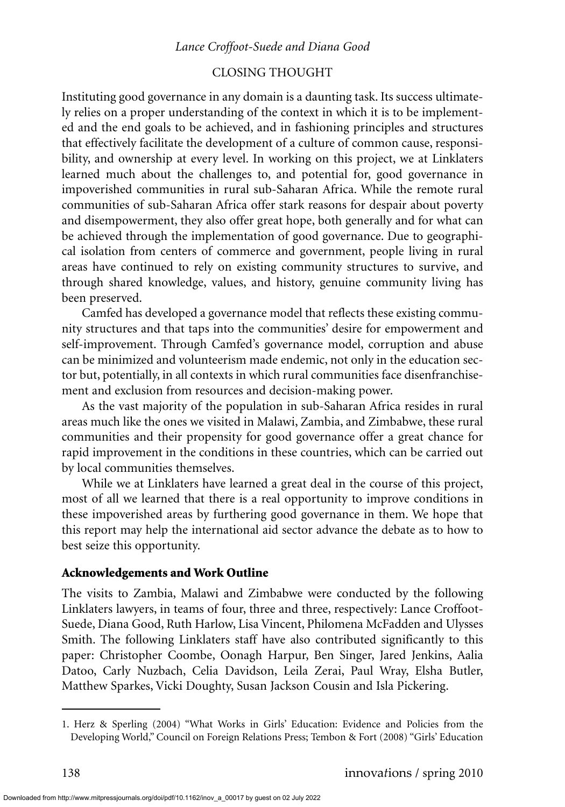#### CLOSING THOUGHT

Instituting good governance in any domain is a daunting task. Its success ultimately relies on a proper understanding of the context in which it is to be implemented and the end goals to be achieved, and in fashioning principles and structures that effectively facilitate the development of a culture of common cause, responsibility, and ownership at every level. In working on this project, we at Linklaters learned much about the challenges to, and potential for, good governance in impoverished communities in rural sub-Saharan Africa. While the remote rural communities of sub-Saharan Africa offer stark reasons for despair about poverty and disempowerment, they also offer great hope, both generally and for what can be achieved through the implementation of good governance. Due to geographical isolation from centers of commerce and government, people living in rural areas have continued to rely on existing community structures to survive, and through shared knowledge, values, and history, genuine community living has been preserved.

Camfed has developed a governance model that reflects these existing community structures and that taps into the communities' desire for empowerment and self-improvement. Through Camfed's governance model, corruption and abuse can be minimized and volunteerism made endemic, not only in the education sector but, potentially, in all contexts in which rural communities face disenfranchisement and exclusion from resources and decision-making power.

As the vast majority of the population in sub-Saharan Africa resides in rural areas much like the ones we visited in Malawi, Zambia, and Zimbabwe, these rural communities and their propensity for good governance offer a great chance for rapid improvement in the conditions in these countries, which can be carried out by local communities themselves.

While we at Linklaters have learned a great deal in the course of this project, most of all we learned that there is a real opportunity to improve conditions in these impoverished areas by furthering good governance in them. We hope that this report may help the international aid sector advance the debate as to how to best seize this opportunity.

### **Acknowledgements and Work Outline**

The visits to Zambia, Malawi and Zimbabwe were conducted by the following Linklaters lawyers, in teams of four, three and three, respectively: Lance Croffoot-Suede, Diana Good, Ruth Harlow, Lisa Vincent, Philomena McFadden and Ulysses Smith. The following Linklaters staff have also contributed significantly to this paper: Christopher Coombe, Oonagh Harpur, Ben Singer, Jared Jenkins, Aalia Datoo, Carly Nuzbach, Celia Davidson, Leila Zerai, Paul Wray, Elsha Butler, Matthew Sparkes, Vicki Doughty, Susan Jackson Cousin and Isla Pickering.

<sup>1.</sup> Herz & Sperling (2004) "What Works in Girls' Education: Evidence and Policies from the Developing World," Council on Foreign Relations Press; Tembon & Fort (2008) "Girls' Education